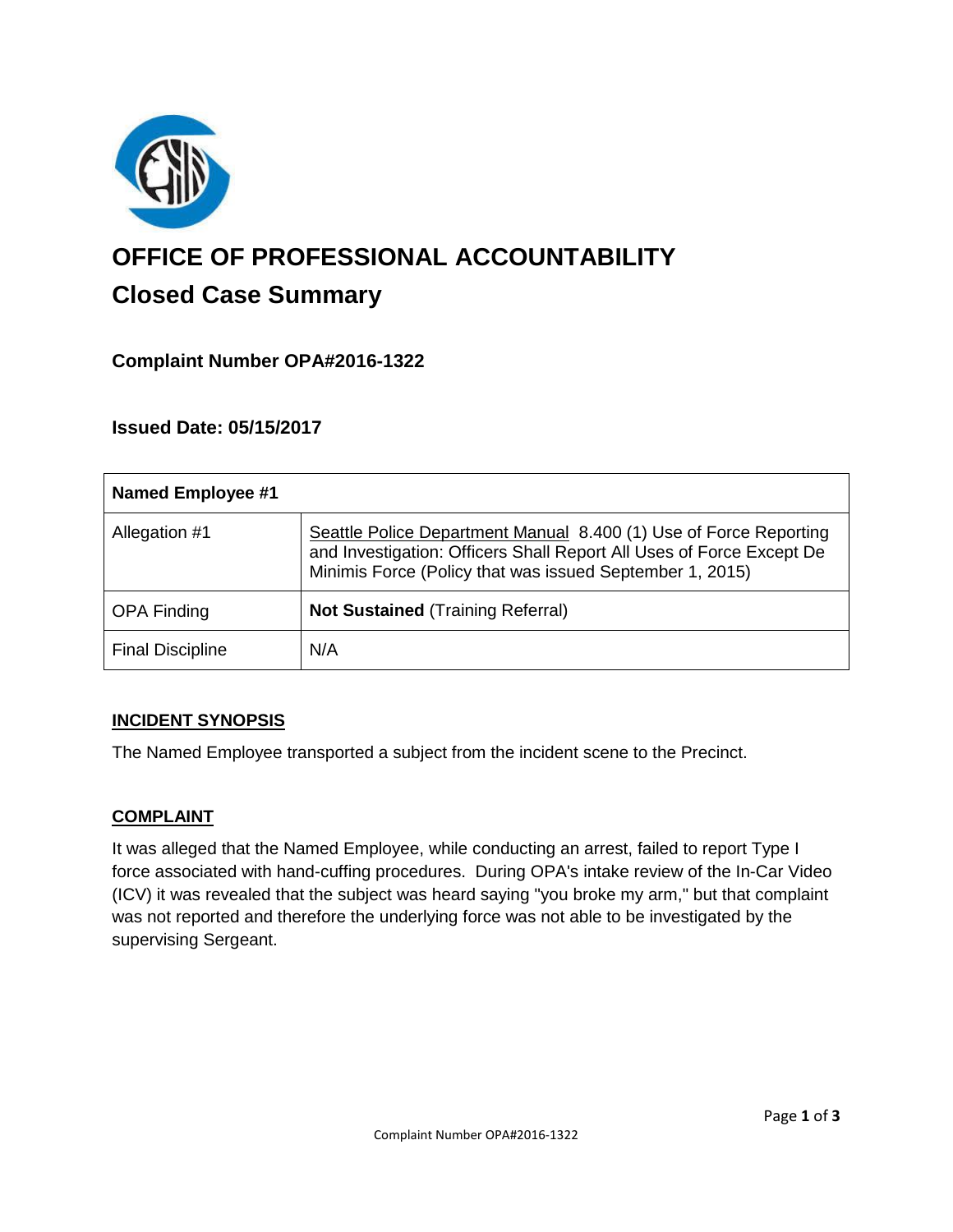

# **OFFICE OF PROFESSIONAL ACCOUNTABILITY Closed Case Summary**

# **Complaint Number OPA#2016-1322**

## **Issued Date: 05/15/2017**

| <b>Named Employee #1</b> |                                                                                                                                                                                                       |
|--------------------------|-------------------------------------------------------------------------------------------------------------------------------------------------------------------------------------------------------|
| Allegation #1            | Seattle Police Department Manual 8.400 (1) Use of Force Reporting<br>and Investigation: Officers Shall Report All Uses of Force Except De<br>Minimis Force (Policy that was issued September 1, 2015) |
| <b>OPA Finding</b>       | <b>Not Sustained (Training Referral)</b>                                                                                                                                                              |
| <b>Final Discipline</b>  | N/A                                                                                                                                                                                                   |

#### **INCIDENT SYNOPSIS**

The Named Employee transported a subject from the incident scene to the Precinct.

#### **COMPLAINT**

It was alleged that the Named Employee, while conducting an arrest, failed to report Type I force associated with hand-cuffing procedures. During OPA's intake review of the In-Car Video (ICV) it was revealed that the subject was heard saying "you broke my arm," but that complaint was not reported and therefore the underlying force was not able to be investigated by the supervising Sergeant.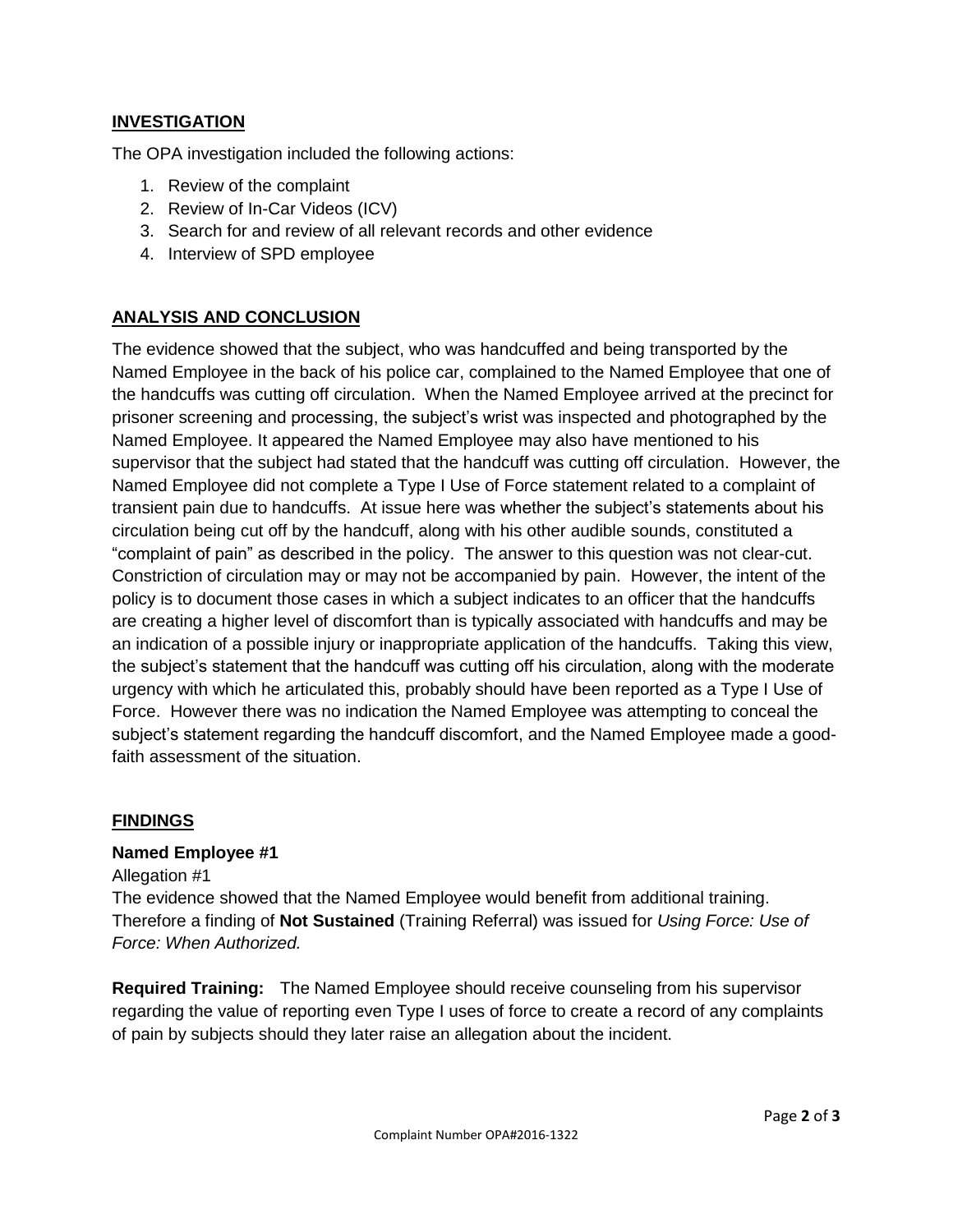## **INVESTIGATION**

The OPA investigation included the following actions:

- 1. Review of the complaint
- 2. Review of In-Car Videos (ICV)
- 3. Search for and review of all relevant records and other evidence
- 4. Interview of SPD employee

## **ANALYSIS AND CONCLUSION**

The evidence showed that the subject, who was handcuffed and being transported by the Named Employee in the back of his police car, complained to the Named Employee that one of the handcuffs was cutting off circulation. When the Named Employee arrived at the precinct for prisoner screening and processing, the subject's wrist was inspected and photographed by the Named Employee. It appeared the Named Employee may also have mentioned to his supervisor that the subject had stated that the handcuff was cutting off circulation. However, the Named Employee did not complete a Type I Use of Force statement related to a complaint of transient pain due to handcuffs. At issue here was whether the subject's statements about his circulation being cut off by the handcuff, along with his other audible sounds, constituted a "complaint of pain" as described in the policy. The answer to this question was not clear-cut. Constriction of circulation may or may not be accompanied by pain. However, the intent of the policy is to document those cases in which a subject indicates to an officer that the handcuffs are creating a higher level of discomfort than is typically associated with handcuffs and may be an indication of a possible injury or inappropriate application of the handcuffs. Taking this view, the subject's statement that the handcuff was cutting off his circulation, along with the moderate urgency with which he articulated this, probably should have been reported as a Type I Use of Force. However there was no indication the Named Employee was attempting to conceal the subject's statement regarding the handcuff discomfort, and the Named Employee made a goodfaith assessment of the situation.

#### **FINDINGS**

#### **Named Employee #1**

Allegation #1

The evidence showed that the Named Employee would benefit from additional training. Therefore a finding of **Not Sustained** (Training Referral) was issued for *Using Force: Use of Force: When Authorized.*

**Required Training:** The Named Employee should receive counseling from his supervisor regarding the value of reporting even Type I uses of force to create a record of any complaints of pain by subjects should they later raise an allegation about the incident.